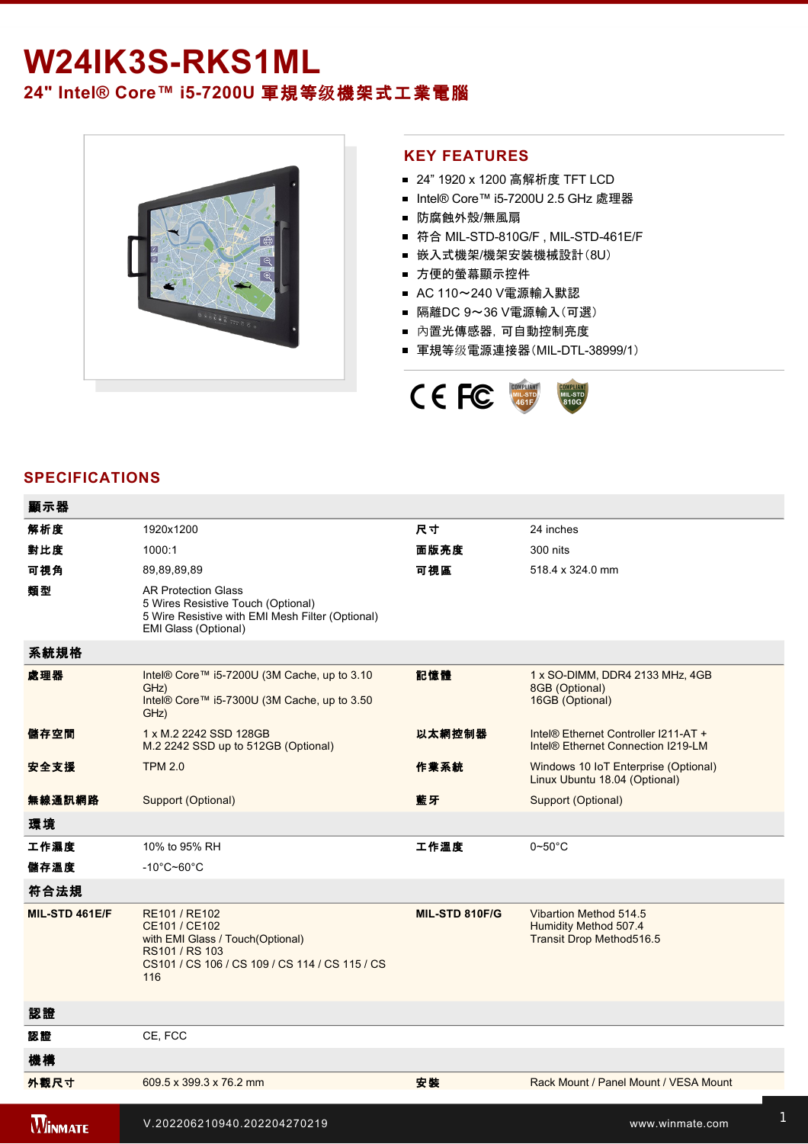## W24IK3S-RKS1ML **24" Intel® Core™ i57200U** 軍規等级機架式工業電腦



## **KEY FEATURES**

- 24" 1920 x 1200 高解析度 TFT LCD
- Intel® Core™ i5-7200U 2.5 GHz 處理器
- 防腐蝕外殼/無風扇
- 符合 MIL-STD-810G/F, MIL-STD-461E/F
- 嵌入式機架/機架安裝機械設計(8U)
- 方便的螢幕顯示控件
- AC 110~240 V電源輸入默認
- 隔離DC 9~36 V電源輸入(可選)
- 內置光傳感器,可自動控制亮度
- 軍規等级電源連接器(MIL-DTL-38999/1)



## **SPECIFICATIONS**

| 顯示器            |                                                                                                                                               |                |                                                                             |
|----------------|-----------------------------------------------------------------------------------------------------------------------------------------------|----------------|-----------------------------------------------------------------------------|
| 解析度            | 1920x1200                                                                                                                                     | 尺寸             | 24 inches                                                                   |
| 對比度            | 1000:1                                                                                                                                        | 面版亮度           | 300 nits                                                                    |
| 可視角            | 89,89,89,89                                                                                                                                   | 可視區            | 518.4 x 324.0 mm                                                            |
| 類型             | <b>AR Protection Glass</b><br>5 Wires Resistive Touch (Optional)<br>5 Wire Resistive with EMI Mesh Filter (Optional)<br>EMI Glass (Optional)  |                |                                                                             |
| 系統規格           |                                                                                                                                               |                |                                                                             |
| 處理器            | Intel® Core™ i5-7200U (3M Cache, up to 3.10<br>GHz)<br>Intel® Core™ i5-7300U (3M Cache, up to 3.50<br>GHz)                                    | 記憶體            | 1 x SO-DIMM, DDR4 2133 MHz, 4GB<br>8GB (Optional)<br>16GB (Optional)        |
| 儲存空間           | 1 x M.2 2242 SSD 128GB<br>M.2 2242 SSD up to 512GB (Optional)                                                                                 | 以太網控制器         | Intel® Ethernet Controller I211-AT +<br>Intel® Ethernet Connection I219-LM  |
| 安全支援           | <b>TPM 2.0</b>                                                                                                                                | 作業系統           | Windows 10 IoT Enterprise (Optional)<br>Linux Ubuntu 18.04 (Optional)       |
| 無線通訊網路         | Support (Optional)                                                                                                                            | 藍牙             | <b>Support (Optional)</b>                                                   |
| 環境             |                                                                                                                                               |                |                                                                             |
| 工作濕度           | 10% to 95% RH                                                                                                                                 | 工作溫度           | $0\negthinspace$ -50 $^{\circ}$ C                                           |
| 儲存溫度           | $-10^{\circ}$ C~60 $^{\circ}$ C                                                                                                               |                |                                                                             |
| 符合法規           |                                                                                                                                               |                |                                                                             |
| MIL-STD 461E/F | RE101 / RE102<br>CE101 / CE102<br>with EMI Glass / Touch(Optional)<br>RS101 / RS 103<br>CS101 / CS 106 / CS 109 / CS 114 / CS 115 / CS<br>116 | MIL-STD 810F/G | Vibartion Method 514.5<br>Humidity Method 507.4<br>Transit Drop Method516.5 |
| 認證             |                                                                                                                                               |                |                                                                             |
| 認證             | CE, FCC                                                                                                                                       |                |                                                                             |
| 機構             |                                                                                                                                               |                |                                                                             |
| 外觀尺寸           | 609.5 x 399.3 x 76.2 mm                                                                                                                       | 安装             | Rack Mount / Panel Mount / VESA Mount                                       |
| <b>WINMATE</b> | V.202206210940.202204270219                                                                                                                   |                | www.winmate.com                                                             |